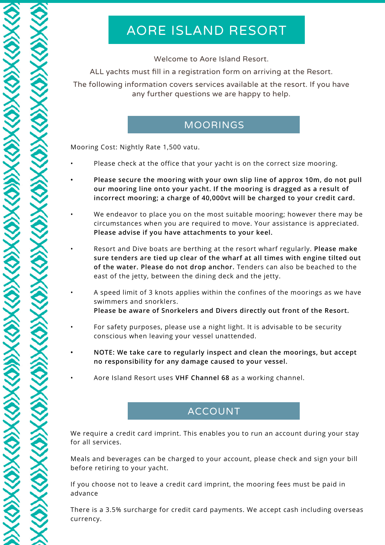# AORE ISLAND RESORT

Welcome to Aore Island Resort.

ALL yachts must fill in a registration form on arriving at the Resort.

The following information covers services available at the resort. If you have any further questions we are happy to help.

#### MOORINGS

Mooring Cost: Nightly Rate 1,500 vatu.

- Please check at the office that your yacht is on the correct size mooring.
- **• Please secure the mooring with your own slip line of approx 10m, do not pull our mooring line onto your yacht. If the mooring is dragged as a result of incorrect mooring; a charge of 40,000vt will be charged to your credit card.**
- We endeavor to place you on the most suitable mooring; however there may be circumstances when you are required to move. Your assistance is appreciated. **Please advise if you have attachments to your keel.**
- Resort and Dive boats are berthing at the resort wharf regularly. **Please make sure tenders are tied up clear of the wharf at all times with engine tilted out of the water. Please do not drop anchor.** Tenders can also be beached to the east of the jetty, between the dining deck and the jetty.
- A speed limit of 3 knots applies within the confines of the moorings as we have swimmers and snorklers. **Please be aware of Snorkelers and Divers directly out front of the Resort.**
- For safety purposes, please use a night light. It is advisable to be security conscious when leaving your vessel unattended.
- **• NOTE: We take care to regularly inspect and clean the moorings, but accept no responsibility for any damage caused to your vessel.**
- Aore Island Resort uses **VHF Channel 68** as a working channel.

# ACCOUNT

We require a credit card imprint. This enables you to run an account during your stay for all services.

Meals and beverages can be charged to your account, please check and sign your bill before retiring to your yacht.

If you choose not to leave a credit card imprint, the mooring fees must be paid in advance

There is a 3.5% surcharge for credit card payments. We accept cash including overseas currency.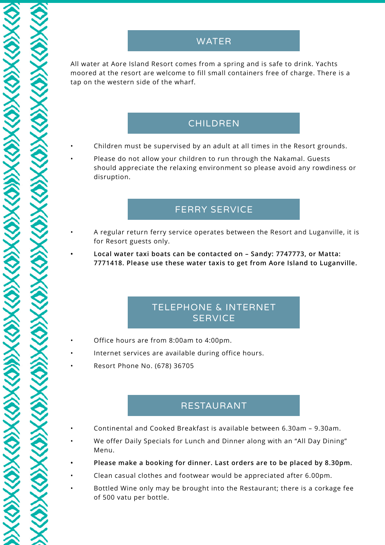All water at Aore Island Resort comes from a spring and is safe to drink. Yachts moored at the resort are welcome to fill small containers free of charge. There is a tap on the western side of the wharf.

# CHILDREN

- Children must be supervised by an adult at all times in the Resort grounds.
- Please do not allow your children to run through the Nakamal. Guests should appreciate the relaxing environment so please avoid any rowdiness or disruption.

# FERRY SERVICE

- A regular return ferry service operates between the Resort and Luganville, it is for Resort guests only.
	- **• Local water taxi boats can be contacted on Sandy: 7747773, or Matta: 7771418. Please use these water taxis to get from Aore Island to Luganville.**

# TELEPHONE & INTERNET **SERVICE**

- Office hours are from 8:00am to 4:00pm.
- Internet services are available during office hours.
- Resort Phone No. (678) 36705

#### RESTAURANT

- Continental and Cooked Breakfast is available between 6.30am 9.30am.
- We offer Daily Specials for Lunch and Dinner along with an "All Day Dining" Menu.
- **• Please make a booking for dinner. Last orders are to be placed by 8.30pm.**
- Clean casual clothes and footwear would be appreciated after 6.00pm.
- Bottled Wine only may be brought into the Restaurant; there is a corkage fee of 500 vatu per bottle.